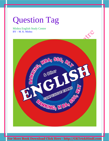# Question Tag

Mishra English Study Centre BY – M. K. Mishra

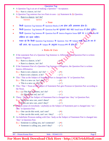#### Question Tag

- $\triangle$  A Question Tag is an art of making a Question + Acceptance. Ex.:- Ram is a dancer, isn't he?
- $\triangle$  A Question Tag sentence has two Parts in uses (a) Statement & (b) Question.
	- Ex.:- Ram is a dancer, isn't he?

Statement **Question** 

#### $\triangleright$  Note

- किसी Question Tag Sentence में Question Marks (?) का होना अति आवश्यक होता है।
- किसी Question Tag Sentence में Question Part का शुरुआत सदा सदा Small letter से होना चाहिए।
- किसी Question Tag Sentence के Question Part में Interro-Negative Sense रहने पर A.V तथा Not का संक्षिप्त रूप रहना चाहिए।
- ध्यान रहे कि किसी Question Tag Sentence के Question Part का Subject कभी Noun के रूप में नहीं आता, वह Statement के Subject के अनुसार Pronoun रूप में होता है।

#### Rules & Uses

- If the statement Part of a Question Tag Sentence is Affirmative, the Question Part is written Interro-Negative.
	- $Ex.:$  Ram is a dancer, is he?
		- $\triangleright$  Ram is a dancer, isn't he?
- If the Statement Part of a Question Tag Sentence is Negative, the Question Part is written Interro-Affirmative.
	- Ex.:- Ram is not a dancer, isn't he? ()
		- $\triangleright$  Ram is not a dancer, is he?  $\bigcirc$   $\bigcirc$   $\bigcirc$   $\bigcirc$   $\bigcirc$

This / That as the Subject of Statement Part is changed into 'It' in Question Part.

- Ex.:- This is a new car. Isn't this?
	- $\triangleright$  This is a new car, isn't it?  $-$  ( $\checkmark$ )
- This / That + Noun as the Subject of Statement Part gets Pronoun in Question Part according to the Noun.
	- Ex.:- (a) This Boy'is honest, isn't he?  $(\checkmark)$ 
		- (b) This Pen is red, isn't it?  $-$  ( $\checkmark$ )

These / Those as the Subject of Statement Part is changed into 'they' in Question Part.

- Ex.:- These are new cars, aren't these?  $-$  ( $\mathbf{x}$ )
	- These are new cars, aren't they?  $(\checkmark)$
- $\bullet$  One (In sense of everybody / anybody) as the Subject of Statement part is changed into 'we / they' in Question Part.
	- Ex.:- One can do this work, can't one?  $-$  ( $\star$ )
		- $\triangleright$  One can do this work, can't we / they?  $(\checkmark)$
- ◆ An Indefinite Pronoun ending with One / body as the Subject of Statement Part is changed into 'they' in Question Part.
	- Ex.:- Someone is calling you, isn't someone?  $-(\star)$ 
		- $\triangleright$  Someone is calling you, aren't they?  $(\checkmark)$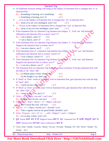|             | <b>Question Tag</b>                                                                                     |
|-------------|---------------------------------------------------------------------------------------------------------|
|             | An Indefinite Pronoun ending with thing as the Subject of Statement Part is changed into 'it' in        |
|             | <b>Question Part.</b>                                                                                   |
|             | Ex.:- Something is burning, isn't something?<br>$ (\times)$                                             |
|             | $\triangleright$ Something is burning, isn't it?<br>$-(\checkmark)$                                     |
|             | •  of us as the Subject of Statement Part is changed into 'we' in Question Part.                        |
|             | Ex.:- Some of us are very intelligent, aren't we?<br>$-(\checkmark)$                                    |
| 參           | Of you as the Subject of Statement Part is changed into 'you' in Question Part.                         |
|             | Ex.:- Some of you are very intelligent, aren't you? $-(\checkmark)$                                     |
|             | If the Statement Part of a Question Tag Sentence has Subject 'T', Verb 'am' and Sentence                |
|             | Affirmative the Question Part is written 'aren't I?'                                                    |
|             | Ex.:- I am a dancer, amn't I? $-(\mathbf{x})$                                                           |
|             | $\triangleright$ I am a dancer, aren't I? $-(\checkmark)$                                               |
| 參           | If the Statement Part of a Question Tag Sentence has Subject 'I', Verb am and Sentence                  |
|             | Negative the Question Part is written 'am I?'                                                           |
|             | $ (\checkmark)$                                                                                         |
|             | Ex.:- I am not a dancer, am I?                                                                          |
| 參           | If the Statement Part of a Question Tag Sentence has Subject 'L' Verb 'was' and Sentence                |
|             | Affirmative the Question Part is written 'weren't I?'                                                   |
|             | Ex.:- I was a dancer, weren't I? $-(\checkmark)$                                                        |
| 參           | If the Statement Part of a Question Tag Sentence has Subject 'I', Verb 'was' and Sentence               |
|             | Negative the Question Part is written 'was I?'                                                          |
|             | Ex.:- I was not a dancer, was I? $-(\checkmark)$                                                        |
| 參           | The Statement Part of a Question Tag Sentence without Auxiliary Verb gets Question Part with            |
|             | the help of 'do / does / did'.                                                                          |
|             | Ex.:- (a) Mohan plays cricket, doesn't he? $-(\checkmark)$                                              |
|             | (b) He bought a car, didn't he?<br>$-(\checkmark)$                                                      |
|             | * If 'Need' or 'Dare' works as Auxiliary Verb in Statement Part, gets Question Part with the help       |
|             | of 'need / dare'.                                                                                       |
|             | Ex.:- I need not buy a car, need I?<br>$-$ ( $\checkmark$ )                                             |
|             | If 'Need' or 'Dare' works as main Verb in Statement Part, gets Question Part with the help of           |
|             | 'do / does / did'.                                                                                      |
|             | Ex.:- I need to buy a car, don't $I$ ?<br>$-$ ( $\checkmark$ )                                          |
|             | $\bullet$ Order – v <sup>1</sup> + Object, can you? / can't you?                                        |
|             | Ex.:- $\mathbb{R}$ ring a chair for me, can you? $-(\checkmark)$                                        |
| 豪           | Probibition - Don't / Never + $v1$ + Object, will you?                                                  |
|             | <b>Ex.</b> Don't touch this wire, will you? $-(\checkmark)$                                             |
| <b>SALE</b> | Advice $-v1 +$ Object, should you? / shouldn't you?                                                     |
|             | Ex.:- Take a regular exercise for good health, shouldn't you?                                           |
|             | $\bullet$ Wish / Proposal – Let + O+ v1 , will + Subject? / won't + Subject?                            |
|             | Ex.:- Let us play cricket, won't we?                                                                    |
|             | * कुछ Words अपने आप में ही Negative Sense रखते है, अतः Statement Part में उनकी मौजूदगी रहने पर          |
|             | उसका Question Part सदा-सदा Interro-Affirmative रहता है।                                                 |
|             |                                                                                                         |
| 參           | [Few/Little / Hardly / Scarcely / Barely / No one / No body / Nothing / No / Not / Never / Neither / No |
|             | Sooner etc.]                                                                                            |
|             | <b>BY</b> - Pritam Kumar Raw<br>Page 3<br>Mob. - 9534411155                                             |